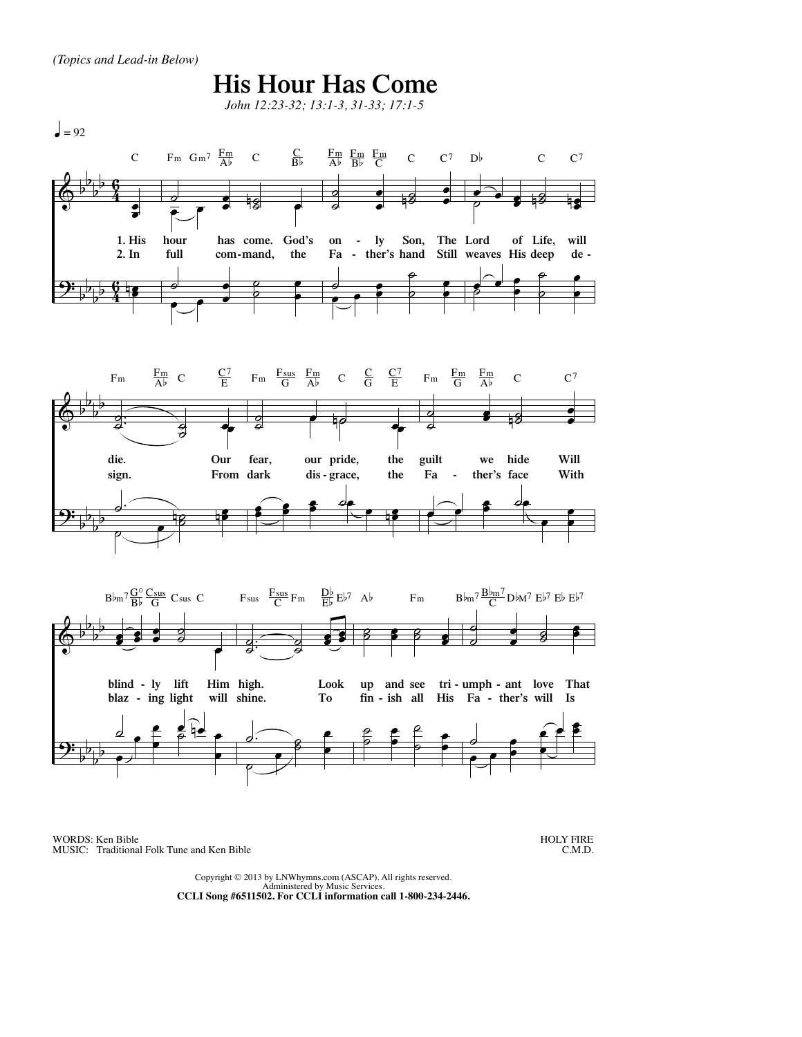

WORDS: Ken Bible MUSIC: Traditional Folk Tune and Ken Bible

HOLY FIRE C.M.D.

Copyright © 2013 by LNWhymns.com (ASCAP). All rights reserved. Administered by Music Services. **CCLI Song #6511502. For CCLI information call 1-800-234-2446.**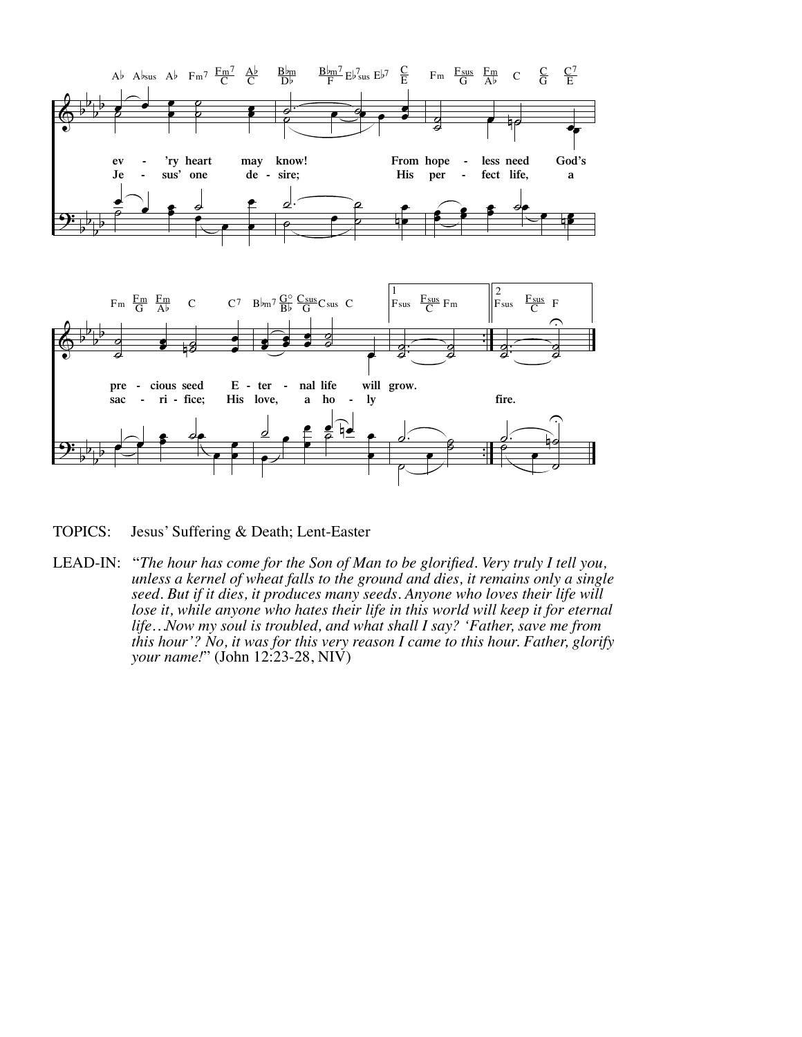

TOPICS: Jesus' Suffering & Death; Lent-Easter

LEAD-IN: "The hour has come for the Son of Man to be glorified. Very truly I tell you,<br>unless a kernel of wheat falls to the ground and dies, it remains only a single<br>seed. But if it dies, it produces many seeds. Anyone wh *lose it, while anyone who hates their life in this world will keep it for eternal life…Now my soul is troubled, and what shall I say? 'Father, save me from this hour'? No, it was for this very reason I came to this hour. Father, glorify your name!*" (John 12:23-28, NIV)